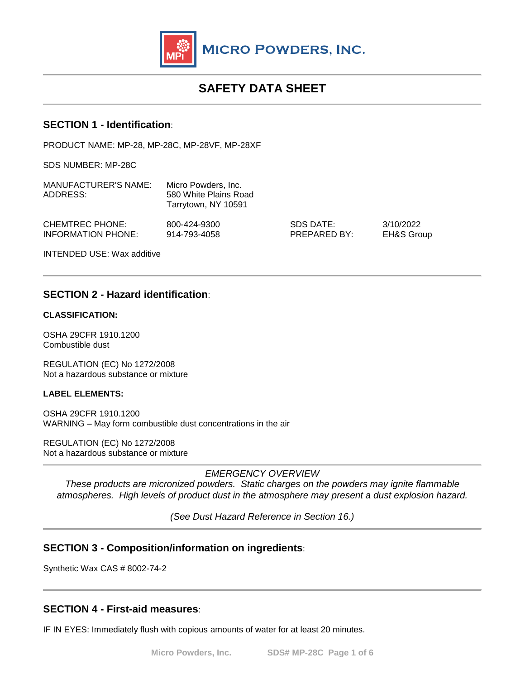

# **SAFETY DATA SHEET**

# **SECTION 1 - Identification**:

PRODUCT NAME: MP-28, MP-28C, MP-28VF, MP-28XF

SDS NUMBER: MP-28C

| MANUFACTURER'S NAME:<br>ADDRESS: | Micro Powders, Inc.<br>580 White Plains Road<br>Tarrytown, NY 10591 |              |            |
|----------------------------------|---------------------------------------------------------------------|--------------|------------|
| CHEMTREC PHONE:                  | 800-424-9300                                                        | SDS DATE:    | 3/10/2022  |
| <b>INFORMATION PHONE:</b>        | 914-793-4058                                                        | PREPARED BY: | EH&S Group |

INTENDED USE: Wax additive

# **SECTION 2 - Hazard identification**:

#### **CLASSIFICATION:**

OSHA 29CFR 1910.1200 Combustible dust

REGULATION (EC) No 1272/2008 Not a hazardous substance or mixture

#### **LABEL ELEMENTS:**

OSHA 29CFR 1910.1200 WARNING – May form combustible dust concentrations in the air

REGULATION (EC) No 1272/2008 Not a hazardous substance or mixture

*EMERGENCY OVERVIEW*

*These products are micronized powders. Static charges on the powders may ignite flammable atmospheres. High levels of product dust in the atmosphere may present a dust explosion hazard.*

*(See Dust Hazard Reference in Section 16.)* 

# **SECTION 3 - Composition/information on ingredients**:

Synthetic Wax CAS # 8002-74-2

### **SECTION 4 - First-aid measures**:

IF IN EYES: Immediately flush with copious amounts of water for at least 20 minutes.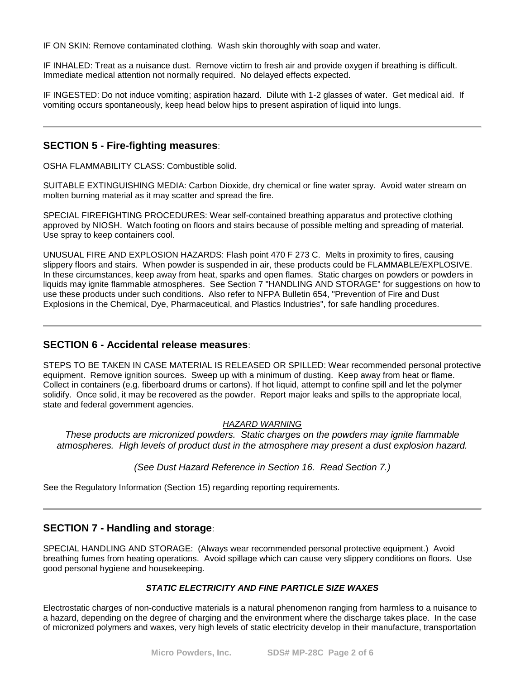IF ON SKIN: Remove contaminated clothing. Wash skin thoroughly with soap and water.

IF INHALED: Treat as a nuisance dust. Remove victim to fresh air and provide oxygen if breathing is difficult. Immediate medical attention not normally required. No delayed effects expected.

IF INGESTED: Do not induce vomiting; aspiration hazard. Dilute with 1-2 glasses of water. Get medical aid. If vomiting occurs spontaneously, keep head below hips to present aspiration of liquid into lungs.

# **SECTION 5 - Fire-fighting measures**:

OSHA FLAMMABILITY CLASS: Combustible solid.

SUITABLE EXTINGUISHING MEDIA: Carbon Dioxide, dry chemical or fine water spray. Avoid water stream on molten burning material as it may scatter and spread the fire.

SPECIAL FIREFIGHTING PROCEDURES: Wear self-contained breathing apparatus and protective clothing approved by NIOSH. Watch footing on floors and stairs because of possible melting and spreading of material. Use spray to keep containers cool.

UNUSUAL FIRE AND EXPLOSION HAZARDS: Flash point 470 F 273 C. Melts in proximity to fires, causing slippery floors and stairs. When powder is suspended in air, these products could be FLAMMABLE/EXPLOSIVE. In these circumstances, keep away from heat, sparks and open flames. Static charges on powders or powders in liquids may ignite flammable atmospheres. See Section 7 "HANDLING AND STORAGE" for suggestions on how to use these products under such conditions. Also refer to NFPA Bulletin 654, "Prevention of Fire and Dust Explosions in the Chemical, Dye, Pharmaceutical, and Plastics Industries", for safe handling procedures.

### **SECTION 6 - Accidental release measures**:

STEPS TO BE TAKEN IN CASE MATERIAL IS RELEASED OR SPILLED: Wear recommended personal protective equipment. Remove ignition sources. Sweep up with a minimum of dusting. Keep away from heat or flame. Collect in containers (e.g. fiberboard drums or cartons). If hot liquid, attempt to confine spill and let the polymer solidify. Once solid, it may be recovered as the powder. Report major leaks and spills to the appropriate local, state and federal government agencies.

#### *HAZARD WARNING*

*These products are micronized powders. Static charges on the powders may ignite flammable atmospheres. High levels of product dust in the atmosphere may present a dust explosion hazard.*

#### *(See Dust Hazard Reference in Section 16. Read Section 7.)*

See the Regulatory Information (Section 15) regarding reporting requirements.

# **SECTION 7 - Handling and storage**:

SPECIAL HANDLING AND STORAGE: (Always wear recommended personal protective equipment.) Avoid breathing fumes from heating operations. Avoid spillage which can cause very slippery conditions on floors. Use good personal hygiene and housekeeping.

### *STATIC ELECTRICITY AND FINE PARTICLE SIZE WAXES*

Electrostatic charges of non-conductive materials is a natural phenomenon ranging from harmless to a nuisance to a hazard, depending on the degree of charging and the environment where the discharge takes place. In the case of micronized polymers and waxes, very high levels of static electricity develop in their manufacture, transportation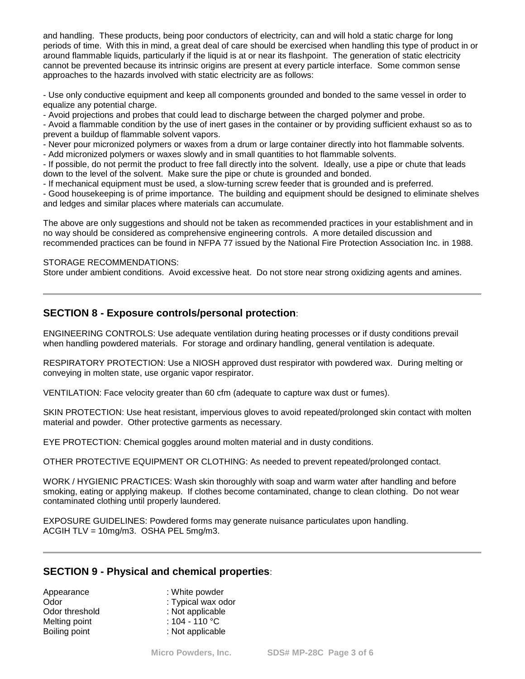and handling. These products, being poor conductors of electricity, can and will hold a static charge for long periods of time. With this in mind, a great deal of care should be exercised when handling this type of product in or around flammable liquids, particularly if the liquid is at or near its flashpoint. The generation of static electricity cannot be prevented because its intrinsic origins are present at every particle interface. Some common sense approaches to the hazards involved with static electricity are as follows:

- Use only conductive equipment and keep all components grounded and bonded to the same vessel in order to equalize any potential charge.

- Avoid projections and probes that could lead to discharge between the charged polymer and probe.

- Avoid a flammable condition by the use of inert gases in the container or by providing sufficient exhaust so as to prevent a buildup of flammable solvent vapors.

- Never pour micronized polymers or waxes from a drum or large container directly into hot flammable solvents.

- Add micronized polymers or waxes slowly and in small quantities to hot flammable solvents.

- If possible, do not permit the product to free fall directly into the solvent. Ideally, use a pipe or chute that leads down to the level of the solvent. Make sure the pipe or chute is grounded and bonded.

- If mechanical equipment must be used, a slow-turning screw feeder that is grounded and is preferred.

- Good housekeeping is of prime importance. The building and equipment should be designed to eliminate shelves and ledges and similar places where materials can accumulate.

The above are only suggestions and should not be taken as recommended practices in your establishment and in no way should be considered as comprehensive engineering controls. A more detailed discussion and recommended practices can be found in NFPA 77 issued by the National Fire Protection Association Inc. in 1988.

#### STORAGE RECOMMENDATIONS:

Store under ambient conditions. Avoid excessive heat. Do not store near strong oxidizing agents and amines.

# **SECTION 8 - Exposure controls/personal protection**:

ENGINEERING CONTROLS: Use adequate ventilation during heating processes or if dusty conditions prevail when handling powdered materials. For storage and ordinary handling, general ventilation is adequate.

RESPIRATORY PROTECTION: Use a NIOSH approved dust respirator with powdered wax. During melting or conveying in molten state, use organic vapor respirator.

VENTILATION: Face velocity greater than 60 cfm (adequate to capture wax dust or fumes).

SKIN PROTECTION: Use heat resistant, impervious gloves to avoid repeated/prolonged skin contact with molten material and powder. Other protective garments as necessary.

EYE PROTECTION: Chemical goggles around molten material and in dusty conditions.

OTHER PROTECTIVE EQUIPMENT OR CLOTHING: As needed to prevent repeated/prolonged contact.

WORK / HYGIENIC PRACTICES: Wash skin thoroughly with soap and warm water after handling and before smoking, eating or applying makeup. If clothes become contaminated, change to clean clothing. Do not wear contaminated clothing until properly laundered.

EXPOSURE GUIDELINES: Powdered forms may generate nuisance particulates upon handling. ACGIH TLV = 10mg/m3. OSHA PEL 5mg/m3.

# **SECTION 9 - Physical and chemical properties**:

| Appearance     | : White powder           |
|----------------|--------------------------|
| Odor           | : Typical wax odor       |
| Odor threshold | : Not applicable         |
| Melting point  | : 104 - 110 $^{\circ}$ C |
| Boiling point  | : Not applicable         |
|                |                          |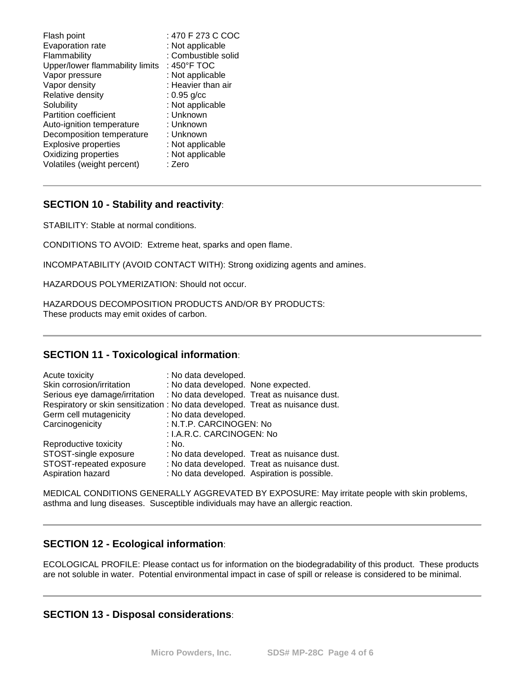# **SECTION 10 - Stability and reactivity**:

STABILITY: Stable at normal conditions.

CONDITIONS TO AVOID: Extreme heat, sparks and open flame.

INCOMPATABILITY (AVOID CONTACT WITH): Strong oxidizing agents and amines.

HAZARDOUS POLYMERIZATION: Should not occur.

HAZARDOUS DECOMPOSITION PRODUCTS AND/OR BY PRODUCTS: These products may emit oxides of carbon.

# **SECTION 11 - Toxicological information**:

| Acute toxicity                                                                 | : No data developed.                |                                              |
|--------------------------------------------------------------------------------|-------------------------------------|----------------------------------------------|
| Skin corrosion/irritation                                                      | : No data developed. None expected. |                                              |
| Serious eye damage/irritation                                                  |                                     | : No data developed. Treat as nuisance dust. |
| Respiratory or skin sensitization : No data developed. Treat as nuisance dust. |                                     |                                              |
| Germ cell mutagenicity                                                         | : No data developed.                |                                              |
| Carcinogenicity                                                                | : N.T.P. CARCINOGEN: No             |                                              |
|                                                                                | : I.A.R.C. CARCINOGEN: No           |                                              |
| Reproductive toxicity                                                          | : No.                               |                                              |
| STOST-single exposure                                                          |                                     | : No data developed. Treat as nuisance dust. |
| STOST-repeated exposure                                                        |                                     | : No data developed. Treat as nuisance dust. |
| Aspiration hazard                                                              |                                     | : No data developed. Aspiration is possible. |

MEDICAL CONDITIONS GENERALLY AGGREVATED BY EXPOSURE: May irritate people with skin problems, asthma and lung diseases. Susceptible individuals may have an allergic reaction.

# **SECTION 12 - Ecological information**:

ECOLOGICAL PROFILE: Please contact us for information on the biodegradability of this product. These products are not soluble in water. Potential environmental impact in case of spill or release is considered to be minimal.

# **SECTION 13 - Disposal considerations**: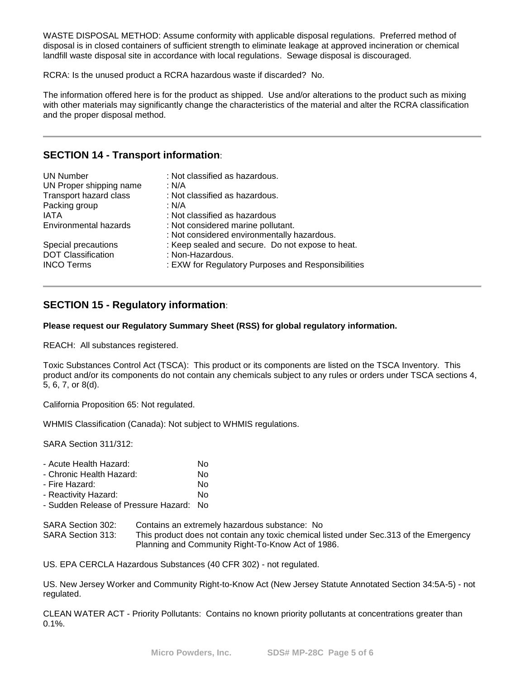WASTE DISPOSAL METHOD: Assume conformity with applicable disposal regulations. Preferred method of disposal is in closed containers of sufficient strength to eliminate leakage at approved incineration or chemical landfill waste disposal site in accordance with local regulations. Sewage disposal is discouraged.

RCRA: Is the unused product a RCRA hazardous waste if discarded? No.

The information offered here is for the product as shipped. Use and/or alterations to the product such as mixing with other materials may significantly change the characteristics of the material and alter the RCRA classification and the proper disposal method.

# **SECTION 14 - Transport information**:

| <b>UN Number</b><br>UN Proper shipping name<br>Transport hazard class<br>Packing group<br><b>IATA</b><br>Environmental hazards | : Not classified as hazardous.<br>: N/A<br>: Not classified as hazardous.<br>: N/A<br>: Not classified as hazardous<br>: Not considered marine pollutant.<br>: Not considered environmentally hazardous. |
|--------------------------------------------------------------------------------------------------------------------------------|----------------------------------------------------------------------------------------------------------------------------------------------------------------------------------------------------------|
| Special precautions                                                                                                            | : Keep sealed and secure. Do not expose to heat.                                                                                                                                                         |
| <b>DOT Classification</b>                                                                                                      | : Non-Hazardous.                                                                                                                                                                                         |
| <b>INCO Terms</b>                                                                                                              | : EXW for Regulatory Purposes and Responsibilities                                                                                                                                                       |

# **SECTION 15 - Regulatory information**:

#### **Please request our Regulatory Summary Sheet (RSS) for global regulatory information.**

REACH: All substances registered.

Toxic Substances Control Act (TSCA): This product or its components are listed on the TSCA Inventory. This product and/or its components do not contain any chemicals subject to any rules or orders under TSCA sections 4, 5, 6, 7, or 8(d).

California Proposition 65: Not regulated.

WHMIS Classification (Canada): Not subject to WHMIS regulations.

SARA Section 311/312:

| No |
|----|
|    |

| - Chronic Health Hazard: | No |
|--------------------------|----|
|                          |    |

- Fire Hazard: No

- Reactivity Hazard: No - Sudden Release of Pressure Hazard: No

SARA Section 302: Contains an extremely hazardous substance: No

SARA Section 313: This product does not contain any toxic chemical listed under Sec.313 of the Emergency Planning and Community Right-To-Know Act of 1986.

US. EPA CERCLA Hazardous Substances (40 CFR 302) - not regulated.

US. New Jersey Worker and Community Right-to-Know Act (New Jersey Statute Annotated Section 34:5A-5) - not regulated.

CLEAN WATER ACT - Priority Pollutants: Contains no known priority pollutants at concentrations greater than 0.1%.